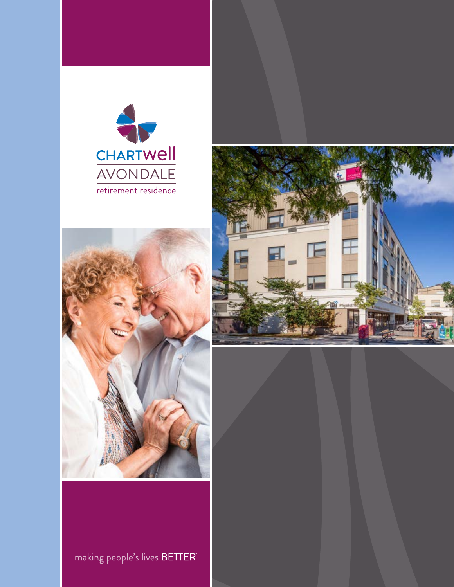





making people's lives BETTER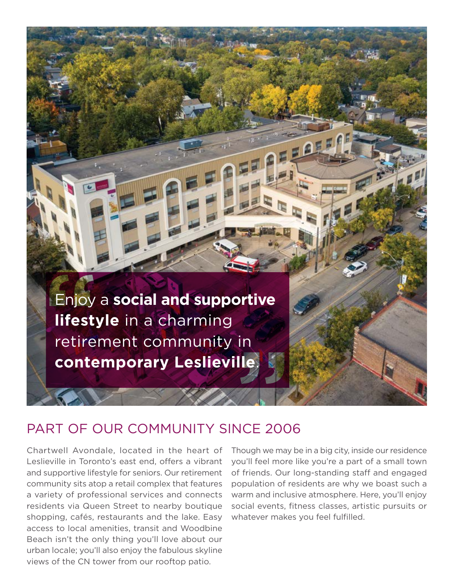

## PART OF OUR COMMUNITY SINCE 2006

Chartwell Avondale, located in the heart of Leslieville in Toronto's east end, offers a vibrant and supportive lifestyle for seniors. Our retirement community sits atop a retail complex that features a variety of professional services and connects residents via Queen Street to nearby boutique shopping, cafés, restaurants and the lake. Easy access to local amenities, transit and Woodbine Beach isn't the only thing you'll love about our urban locale; you'll also enjoy the fabulous skyline views of the CN tower from our rooftop patio.

Though we may be in a big city, inside our residence you'll feel more like you're a part of a small town of friends. Our long-standing staff and engaged population of residents are why we boast such a warm and inclusive atmosphere. Here, you'll enjoy social events, fitness classes, artistic pursuits or whatever makes you feel fulfilled.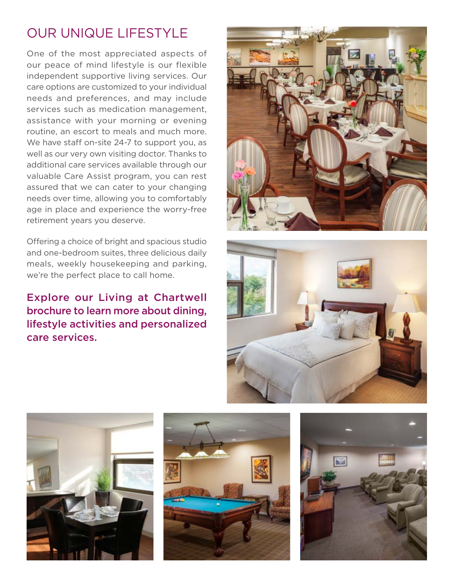# OUR UNIQUE LIFESTYLE

One of the most appreciated aspects of our peace of mind lifestyle is our flexible independent supportive living services. Our care options are customized to your individual needs and preferences, and may include services such as medication management, assistance with your morning or evening routine, an escort to meals and much more. We have staff on-site 24-7 to support you, as well as our very own visiting doctor. Thanks to additional care services available through our valuable Care Assist program, you can rest assured that we can cater to your changing needs over time, allowing you to comfortably age in place and experience the worry-free retirement years you deserve.

Offering a choice of bright and spacious studio and one-bedroom suites, three delicious daily meals, weekly housekeeping and parking, we're the perfect place to call home.

### Explore our Living at Chartwell brochure to learn more about dining, lifestyle activities and personalized care services.









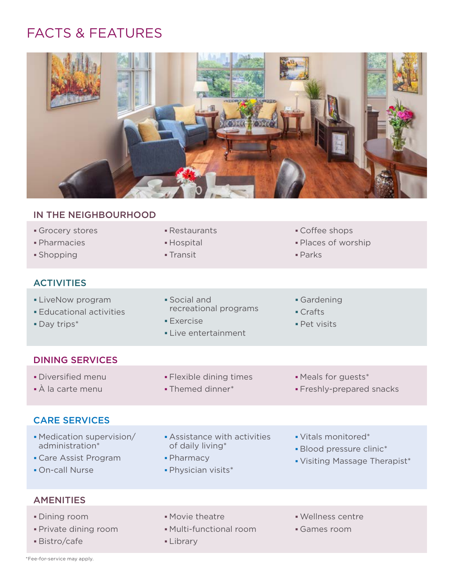# FACTS & FEATURES



### IN THE NEIGHBOURHOOD

| IN THE NEIGHBOURHOOD                                                                     |                                                                                          |                                                                                  |
|------------------------------------------------------------------------------------------|------------------------------------------------------------------------------------------|----------------------------------------------------------------------------------|
| Grocery stores<br>• Pharmacies<br>• Shopping                                             | • Restaurants<br>• Hospital<br>• Transit                                                 | • Coffee shops<br>- Places of worship<br>$\blacksquare$ Parks                    |
| <b>ACTIVITIES</b>                                                                        |                                                                                          |                                                                                  |
| <b>- LiveNow program</b><br><b>Educational activities</b><br>• Day trips*                | • Social and<br>recreational programs<br>$\blacksquare$ Exercise<br>• Live entertainment | Gardening<br>• Crafts<br>• Pet visits                                            |
| <b>DINING SERVICES</b>                                                                   |                                                                                          |                                                                                  |
| • Diversified menu<br>• À la carte menu                                                  | • Flexible dining times<br>• Themed dinner*                                              | • Meals for guests*<br>• Freshly-prepared snacks                                 |
| <b>CARE SERVICES</b>                                                                     |                                                                                          |                                                                                  |
| • Medication supervision/<br>administration*<br>• Care Assist Program<br>• On-call Nurse | Assistance with activities<br>of daily living*<br>• Pharmacy<br>· Physician visits*      | • Vitals monitored*<br>• Blood pressure clinic*<br>• Visiting Massage Therapist* |
| A MEMITIES                                                                               |                                                                                          |                                                                                  |

#### AMENITIES

| • Dining room         | • Movie theatre         | · Wellness centre |
|-----------------------|-------------------------|-------------------|
| • Private dining room | • Multi-functional room | • Games room      |
| Bistro/cafe           | • Library               |                   |

\*Fee-for-service may apply.